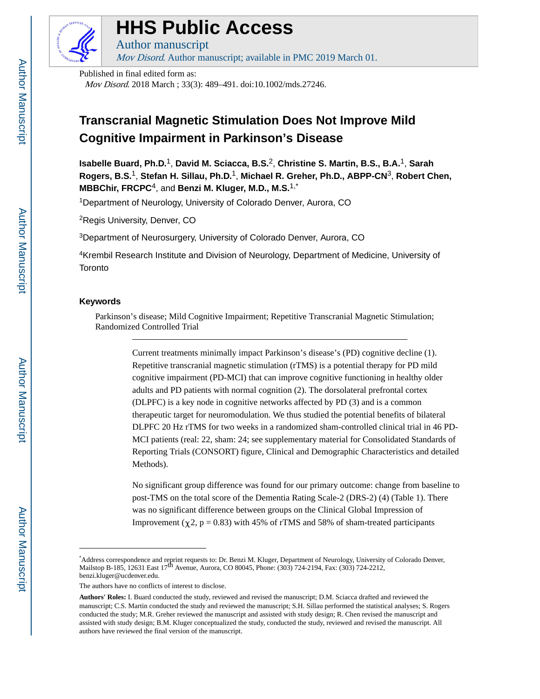

# **HHS Public Access**

Author manuscript Mov Disord. Author manuscript; available in PMC 2019 March 01.

Published in final edited form as:

Mov Disord. 2018 March ; 33(3): 489–491. doi:10.1002/mds.27246.

# **Transcranial Magnetic Stimulation Does Not Improve Mild Cognitive Impairment in Parkinson's Disease**

**Isabelle Buard, Ph.D.**1, **David M. Sciacca, B.S.**2, **Christine S. Martin, B.S., B.A.**1, **Sarah Rogers, B.S.**1, **Stefan H. Sillau, Ph.D.**1, **Michael R. Greher, Ph.D., ABPP-CN**3, **Robert Chen, MBBChir, FRCPC**4, and **Benzi M. Kluger, M.D., M.S.**1,\*

<sup>1</sup>Department of Neurology, University of Colorado Denver, Aurora, CO

<sup>2</sup>Regis University, Denver, CO

<sup>3</sup>Department of Neurosurgery, University of Colorado Denver, Aurora, CO

<sup>4</sup>Krembil Research Institute and Division of Neurology, Department of Medicine, University of **Toronto** 

### **Keywords**

Parkinson's disease; Mild Cognitive Impairment; Repetitive Transcranial Magnetic Stimulation; Randomized Controlled Trial

> Current treatments minimally impact Parkinson's disease's (PD) cognitive decline (1). Repetitive transcranial magnetic stimulation (rTMS) is a potential therapy for PD mild cognitive impairment (PD-MCI) that can improve cognitive functioning in healthy older adults and PD patients with normal cognition (2). The dorsolateral prefrontal cortex (DLPFC) is a key node in cognitive networks affected by PD (3) and is a common therapeutic target for neuromodulation. We thus studied the potential benefits of bilateral DLPFC 20 Hz rTMS for two weeks in a randomized sham-controlled clinical trial in 46 PD-MCI patients (real: 22, sham: 24; see supplementary material for Consolidated Standards of Reporting Trials (CONSORT) figure, Clinical and Demographic Characteristics and detailed Methods).

> No significant group difference was found for our primary outcome: change from baseline to post-TMS on the total score of the Dementia Rating Scale-2 (DRS-2) (4) (Table 1). There was no significant difference between groups on the Clinical Global Impression of Improvement ( $\chi$ 2, p = 0.83) with 45% of rTMS and 58% of sham-treated participants

Address correspondence and reprint requests to: Dr. Benzi M. Kluger, Department of Neurology, University of Colorado Denver, Mailstop B-185, 12631 East 17<sup>th</sup> Avenue, Aurora, CO 80045, Phone: (303) 724-2194, Fax: (303) 724 benzi.kluger@ucdenver.edu.

The authors have no conflicts of interest to disclose.

**Authors' Roles:** I. Buard conducted the study, reviewed and revised the manuscript; D.M. Sciacca drafted and reviewed the manuscript; C.S. Martin conducted the study and reviewed the manuscript; S.H. Sillau performed the statistical analyses; S. Rogers conducted the study; M.R. Greher reviewed the manuscript and assisted with study design; R. Chen revised the manuscript and assisted with study design; B.M. Kluger conceptualized the study, conducted the study, reviewed and revised the manuscript. All authors have reviewed the final version of the manuscript.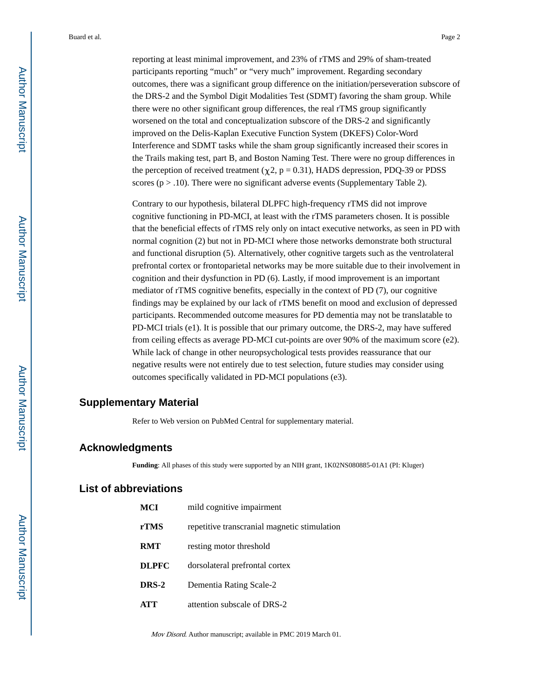Buard et al. Page 2

reporting at least minimal improvement, and 23% of rTMS and 29% of sham-treated participants reporting "much" or "very much" improvement. Regarding secondary outcomes, there was a significant group difference on the initiation/perseveration subscore of the DRS-2 and the Symbol Digit Modalities Test (SDMT) favoring the sham group. While there were no other significant group differences, the real rTMS group significantly worsened on the total and conceptualization subscore of the DRS-2 and significantly improved on the Delis-Kaplan Executive Function System (DKEFS) Color-Word Interference and SDMT tasks while the sham group significantly increased their scores in the Trails making test, part B, and Boston Naming Test. There were no group differences in the perception of received treatment ( $\chi$ 2, p = 0.31), HADS depression, PDQ-39 or PDSS scores ( $p > .10$ ). There were no significant adverse events (Supplementary Table 2).

Contrary to our hypothesis, bilateral DLPFC high-frequency rTMS did not improve cognitive functioning in PD-MCI, at least with the rTMS parameters chosen. It is possible that the beneficial effects of rTMS rely only on intact executive networks, as seen in PD with normal cognition (2) but not in PD-MCI where those networks demonstrate both structural and functional disruption (5). Alternatively, other cognitive targets such as the ventrolateral prefrontal cortex or frontoparietal networks may be more suitable due to their involvement in cognition and their dysfunction in PD (6). Lastly, if mood improvement is an important mediator of rTMS cognitive benefits, especially in the context of PD (7), our cognitive findings may be explained by our lack of rTMS benefit on mood and exclusion of depressed participants. Recommended outcome measures for PD dementia may not be translatable to PD-MCI trials (e1). It is possible that our primary outcome, the DRS-2, may have suffered from ceiling effects as average PD-MCI cut-points are over 90% of the maximum score (e2). While lack of change in other neuropsychological tests provides reassurance that our negative results were not entirely due to test selection, future studies may consider using outcomes specifically validated in PD-MCI populations (e3).

## **Supplementary Material**

Refer to Web version on PubMed Central for supplementary material.

#### **Acknowledgments**

**Funding**: All phases of this study were supported by an NIH grant, 1K02NS080885-01A1 (PI: Kluger)

# **List of abbreviations**

| <b>MCI</b>   | mild cognitive impairment                    |
|--------------|----------------------------------------------|
| rTMS         | repetitive transcranial magnetic stimulation |
| <b>RMT</b>   | resting motor threshold                      |
| <b>DLPFC</b> | dorsolateral prefrontal cortex               |
| DRS-2        | Dementia Rating Scale-2                      |
| <b>ATT</b>   | attention subscale of DRS-2                  |

Mov Disord. Author manuscript; available in PMC 2019 March 01.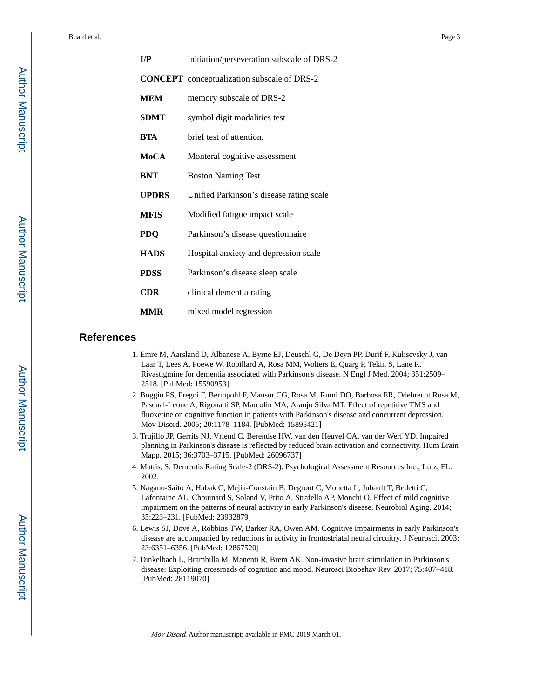Buard et al. Page 3

| I/P         | initiation/perseveration subscale of DRS-2         |
|-------------|----------------------------------------------------|
|             | <b>CONCEPT</b> conceptualization subscale of DRS-2 |
| <b>MEM</b>  | memory subscale of DRS-2                           |
| <b>SDMT</b> | symbol digit modalities test                       |
| <b>BTA</b>  | brief test of attention.                           |
| MoCA        | Monteral cognitive assessment                      |
| <b>BNT</b>  | <b>Boston Naming Test</b>                          |
| UPDRS       | Unified Parkinson's disease rating scale           |
| <b>MFIS</b> | Modified fatigue impact scale                      |
| <b>PDQ</b>  | Parkinson's disease questionnaire                  |
| <b>HADS</b> | Hospital anxiety and depression scale              |
| <b>PDSS</b> | Parkinson's disease sleep scale                    |
| CDR.        | clinical dementia rating                           |
| <b>MMR</b>  | mixed model regression                             |

#### **References**

- 1. Emre M, Aarsland D, Albanese A, Byrne EJ, Deuschl G, De Deyn PP, Durif F, Kulisevsky J, van Laar T, Lees A, Poewe W, Robillard A, Rosa MM, Wolters E, Quarg P, Tekin S, Lane R. Rivastigmine for dementia associated with Parkinson's disease. N Engl J Med. 2004; 351:2509– 2518. [PubMed: 15590953]
- 2. Boggio PS, Fregni F, Bermpohl F, Mansur CG, Rosa M, Rumi DO, Barbosa ER, Odebrecht Rosa M, Pascual-Leone A, Rigonatti SP, Marcolin MA, Araujo Silva MT. Effect of repetitive TMS and fluoxetine on cognitive function in patients with Parkinson's disease and concurrent depression. Mov Disord. 2005; 20:1178–1184. [PubMed: 15895421]
- 3. Trujillo JP, Gerrits NJ, Vriend C, Berendse HW, van den Heuvel OA, van der Werf YD. Impaired planning in Parkinson's disease is reflected by reduced brain activation and connectivity. Hum Brain Mapp. 2015; 36:3703–3715. [PubMed: 26096737]
- 4. Mattis, S. Dementis Rating Scale-2 (DRS-2). Psychological Assessment Resources Inc.; Lutz, FL: 2002.
- 5. Nagano-Saito A, Habak C, Mejia-Constain B, Degroot C, Monetta L, Jubault T, Bedetti C, Lafontaine AL, Chouinard S, Soland V, Ptito A, Strafella AP, Monchi O. Effect of mild cognitive impairment on the patterns of neural activity in early Parkinson's disease. Neurobiol Aging. 2014; 35:223–231. [PubMed: 23932879]
- 6. Lewis SJ, Dove A, Robbins TW, Barker RA, Owen AM. Cognitive impairments in early Parkinson's disease are accompanied by reductions in activity in frontostriatal neural circuitry. J Neurosci. 2003; 23:6351–6356. [PubMed: 12867520]
- 7. Dinkelbach L, Brambilla M, Manenti R, Brem AK. Non-invasive brain stimulation in Parkinson's disease: Exploiting crossroads of cognition and mood. Neurosci Biobehav Rev. 2017; 75:407–418. [PubMed: 28119070]

Mov Disord. Author manuscript; available in PMC 2019 March 01.